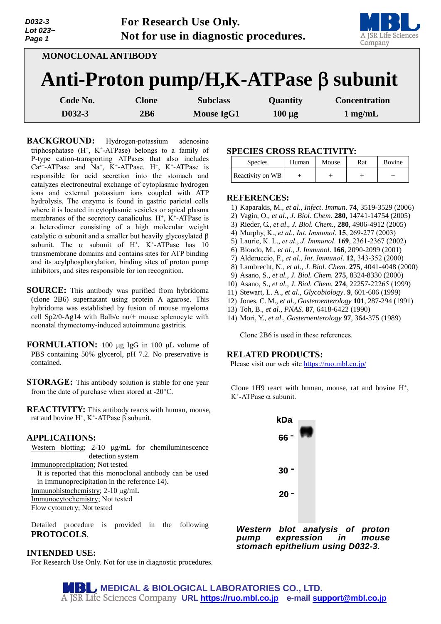| D032-3<br>Lot 023~<br>Page 1 |              | <b>For Research Use Only.</b><br>Not for use in diagnostic procedures. |             | A JSR Life Science<br>Company          |
|------------------------------|--------------|------------------------------------------------------------------------|-------------|----------------------------------------|
| <b>MONOCLONAL ANTIBODY</b>   |              |                                                                        |             |                                        |
|                              |              |                                                                        |             | Anti-Proton pump/H, K-ATPase β subunit |
| Code No.                     | <b>Clone</b> | <b>Subclass</b>                                                        | Quantity    | <b>Concentration</b>                   |
| D032-3                       | 2B6          | <b>Mouse IgG1</b>                                                      | $100 \mu g$ | $1$ mg/mL                              |

**BACKGROUND:** Hydrogen-potassium adenosine triphosphatase  $(H^+, K^+$ -ATPase) belongs to a family of P-type cation-transporting ATPases that also includes  $Ca^{2+}-ATP$ ase and Na<sup>+</sup>, K<sup>+</sup>-ATPase. H<sup>+</sup>, K<sup>+</sup>-ATPase is responsible for acid secretion into the stomach and catalyzes electroneutral exchange of cytoplasmic hydrogen ions and external potassium ions coupled with ATP hydrolysis. The enzyme is found in gastric parietal cells where it is located in cytoplasmic vesicles or apical plasma membranes of the secretory canaliculus.  $H^+$ ,  $K^+$ -ATPase is a heterodimer consisting of a high molecular weight catalytic  $\alpha$  subunit and a smaller but heavily glycosylated  $\beta$ subunit. The  $\alpha$  subunit of H<sup>+</sup>, K<sup>+</sup>-ATPase has 10 transmembrane domains and contains sites for ATP binding and its acylphosphorylation, binding sites of proton pump inhibitors, and sites responsible for ion recognition.

- **SOURCE:** This antibody was purified from hybridoma (clone 2B6) supernatant using protein A agarose. This hybridoma was established by fusion of mouse myeloma cell Sp2/0-Ag14 with Balb/c nu/+ mouse splenocyte with neonatal thymectomy-induced autoimmune gastritis.
- **FORMULATION:** 100 µg IgG in 100 µL volume of PBS containing 50% glycerol, pH 7.2. No preservative is contained.
- **STORAGE:** This antibody solution is stable for one year from the date of purchase when stored at -20°C.

**REACTIVITY:** This antibody reacts with human, mouse, rat and bovine  $H^+$ , K<sup>+</sup>-ATPase  $\beta$  subunit.

# **APPLICATIONS:**

Western blotting; 2-10 µg/mL for chemiluminescence detection system

Immunoprecipitation; Not tested

It is reported that this monoclonal antibody can be used in Immunoprecipitation in the reference 14).

Immunohistochemistry; 2-10  $\mu$ g/mL

Immunocytochemistry; Not tested Flow cytometry; Not tested

Detailed procedure is provided in the following **PROTOCOLS**.

### **INTENDED USE:**

For Research Use Only. Not for use in diagnostic procedures.

### **SPECIES CROSS REACTIVITY:**

| <b>Species</b>   | Human | Mouse | Rat | Bovine |
|------------------|-------|-------|-----|--------|
| Reactivity on WB |       |       |     |        |

#### **REFERENCES:**

- 1) Kaparakis, M., *et al*., *Infect*. *Immun*. **74**, 3519-3529 (2006)
- 2) Vagin, O., *et al*., *J*. *Biol*. *Chem*. **280,** 14741-14754 (2005)
- 3) Rieder, G., *et al*., *J. Biol. Chem.,* **280**, 4906-4912 (2005)
- 4) Murphy, K., *et al*., *Int*. *Immunol*. **15**, 269-277 (2003)
- 5) Laurie, K. L., *et al*., *J*. *Immunol*. **169**, 2361-2367 (2002)
- 6) Biondo, M., *et al., J. Immunol*. **166**, 2090-2099 (2001)
- 7) Alderuccio, F., *et al*., *Int*. *Immunol*. **12**, 343-352 (2000)
- 8) Lambrecht, N., *et al., J. Biol. Chem.* **275**, 4041-4048 (2000)
- 9) Asano, S., *et al., J. Biol. Chem.* **275**, 8324-8330 (2000)
- 10) Asano, S., *et al., J. Biol. Chem.* **274**, 22257-22265 (1999)
- 11) Stewart, L. A., *et al*., *Glycobiology*. **9**, 601-606 (1999)
- 12) Jones, C. M., *et al*., *Gasteroenterology* **101**, 287-294 (1991)
- 13) Toh, B., *et al*., *PNAS*. **87**, 6418-6422 (1990)
- 14) Mori, Y., *et al*., *Gasteroenterology* **97**, 364-375 (1989)

Clone 2B6 is used in these references.

# **RELATED PRODUCTS:**

Please visit our web site<https://ruo.mbl.co.jp/>

Clone 1H9 react with human, mouse, rat and bovine  $H^+$ , K<sup>+</sup>-ATPase α subunit.



*Western blot analysis of proton expression in stomach epithelium using D032-3.*